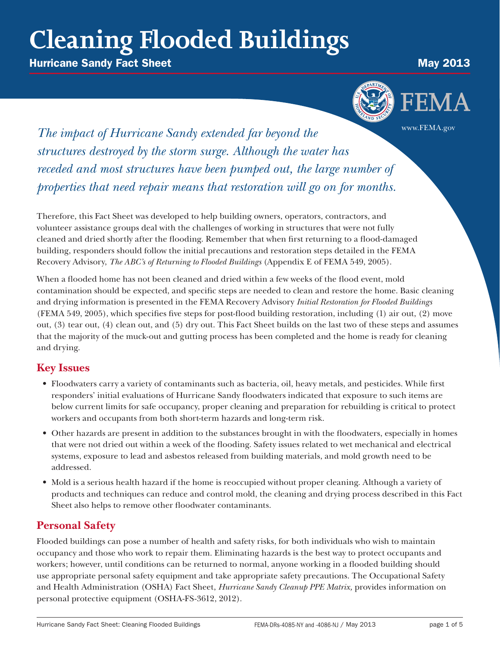# **Cleaning Flooded Buildings**

**Hurricane Sandy Fact Sheet May 2013** 



**The impact of Hurricane Sandy extended far beyond the The impact of Hurricane Sandy extended far beyond the** *structures destroyed by the storm surge. Although the water has receded and most structures have been pumped out, the large number of properties that need repair means that restoration will go on for months.*

Therefore, this Fact Sheet was developed to help building owners, operators, contractors, and volunteer assistance groups deal with the challenges of working in structures that were not fully cleaned and dried shortly after the flooding. Remember that when first returning to a flood-damaged building, responders should follow the initial precautions and restoration steps detailed in the FEMA Recovery Advisory, *The ABC's of Returning to Flooded Buildings* (Appendix E of FEMA 549, 2005).

When a flooded home has not been cleaned and dried within a few weeks of the flood event, mold contamination should be expected, and specific steps are needed to clean and restore the home. Basic cleaning and drying information is presented in the FEMA Recovery Advisory *Initial Restoration for Flooded Buildings* (FEMA 549, 2005), which specifies five steps for post-flood building restoration, including (1) air out, (2) move out, (3) tear out, (4) clean out, and (5) dry out. This Fact Sheet builds on the last two of these steps and assumes that the majority of the muck-out and gutting process has been completed and the home is ready for cleaning and drying.

# **Key Issues**

- • Floodwaters carry a variety of contaminants such as bacteria, oil, heavy metals, and pesticides. While first responders' initial evaluations of Hurricane Sandy floodwaters indicated that exposure to such items are below current limits for safe occupancy, proper cleaning and preparation for rebuilding is critical to protect workers and occupants from both short-term hazards and long-term risk.
- • Other hazards are present in addition to the substances brought in with the floodwaters, especially in homes that were not dried out within a week of the flooding. Safety issues related to wet mechanical and electrical systems, exposure to lead and asbestos released from building materials, and mold growth need to be addressed.
- Mold is a serious health hazard if the home is reoccupied without proper cleaning. Although a variety of products and techniques can reduce and control mold, the cleaning and drying process described in this Fact Sheet also helps to remove other floodwater contaminants.

# **Personal Safety**

Flooded buildings can pose a number of health and safety risks, for both individuals who wish to maintain occupancy and those who work to repair them. Eliminating hazards is the best way to protect occupants and workers; however, until conditions can be returned to normal, anyone working in a flooded building should use appropriate personal safety equipment and take appropriate safety precautions. The Occupational Safety and Health Administration (OSHA) Fact Sheet, *Hurricane Sandy Cleanup PPE Matrix,* provides information on personal protective equipment (OSHA-FS-3612, 2012).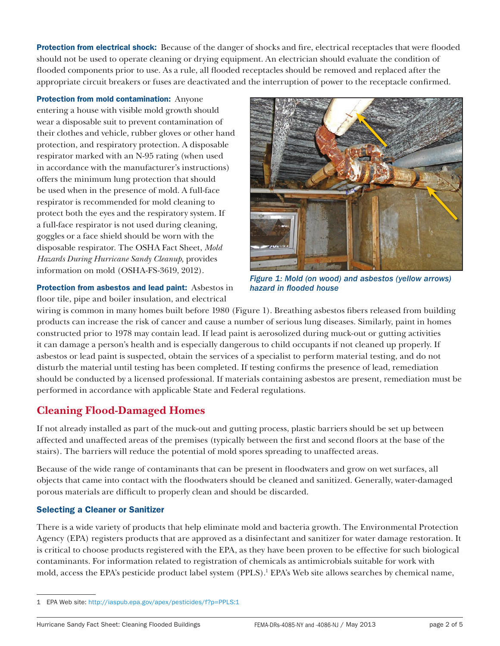**Protection from electrical shock:** Because of the danger of shocks and fire, electrical receptacles that were flooded should not be used to operate cleaning or drying equipment. An electrician should evaluate the condition of flooded components prior to use. As a rule, all flooded receptacles should be removed and replaced after the appropriate circuit breakers or fuses are deactivated and the interruption of power to the receptacle confirmed.

Protection from mold contamination: Anyone entering a house with visible mold growth should wear a disposable suit to prevent contamination of their clothes and vehicle, rubber gloves or other hand protection, and respiratory protection. A disposable respirator marked with an N-95 rating (when used in accordance with the manufacturer's instructions) offers the minimum lung protection that should be used when in the presence of mold. A full-face respirator is recommended for mold cleaning to protect both the eyes and the respiratory system. If a full-face respirator is not used during cleaning, goggles or a face shield should be worn with the disposable respirator. The OSHA Fact Sheet, *Mold Hazards During Hurricane Sandy Cleanup,* provides information on mold (OSHA-FS-3619, 2012).



*Figure 1: Mold (on wood) and asbestos (yellow arrows) hazard in flooded house*

Protection from asbestos and lead paint: Asbestos in floor tile, pipe and boiler insulation, and electrical

wiring is common in many homes built before 1980 (Figure 1). Breathing asbestos fibers released from building products can increase the risk of cancer and cause a number of serious lung diseases. Similarly, paint in homes constructed prior to 1978 may contain lead. If lead paint is aerosolized during muck-out or gutting activities it can damage a person's health and is especially dangerous to child occupants if not cleaned up properly. If asbestos or lead paint is suspected, obtain the services of a specialist to perform material testing, and do not disturb the material until testing has been completed. If testing confirms the presence of lead, remediation should be conducted by a licensed professional. If materials containing asbestos are present, remediation must be performed in accordance with applicable State and Federal regulations.

# **Cleaning Flood-Damaged Homes**

If not already installed as part of the muck-out and gutting process, plastic barriers should be set up between affected and unaffected areas of the premises (typically between the first and second floors at the base of the stairs). The barriers will reduce the potential of mold spores spreading to unaffected areas.

Because of the wide range of contaminants that can be present in floodwaters and grow on wet surfaces, all objects that came into contact with the floodwaters should be cleaned and sanitized. Generally, water-damaged porous materials are difficult to properly clean and should be discarded.

### Selecting a Cleaner or Sanitizer

There is a wide variety of products that help eliminate mold and bacteria growth. The Environmental Protection Agency (EPA) registers products that are approved as a disinfectant and sanitizer for water damage restoration. It is critical to choose products registered with the EPA, as they have been proven to be effective for such biological contaminants. For information related to registration of chemicals as antimicrobials suitable for work with mold, access the EPA's pesticide product label system (PPLS).<sup>1</sup> EPA's Web site allows searches by chemical name,

<sup>1</sup> EPA Web site:<http://iaspub.epa.gov/apex/pesticides/f?p=PPLS:1>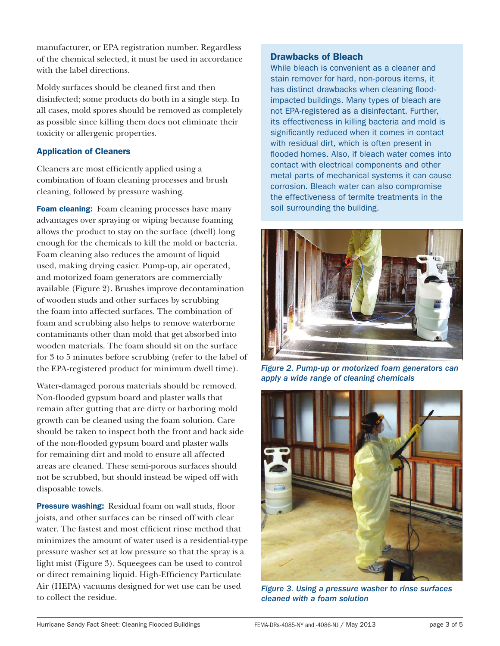manufacturer, or EPA registration number. Regardless of the chemical selected, it must be used in accordance with the label directions.

Moldy surfaces should be cleaned first and then disinfected; some products do both in a single step. In all cases, mold spores should be removed as completely as possible since killing them does not eliminate their toxicity or allergenic properties.

#### Application of Cleaners

Cleaners are most efficiently applied using a combination of foam cleaning processes and brush cleaning, followed by pressure washing.

Foam cleaning: Foam cleaning processes have many advantages over spraying or wiping because foaming allows the product to stay on the surface (dwell) long enough for the chemicals to kill the mold or bacteria. Foam cleaning also reduces the amount of liquid used, making drying easier. Pump-up, air operated, and motorized foam generators are commercially available (Figure 2). Brushes improve decontamination of wooden studs and other surfaces by scrubbing the foam into affected surfaces. The combination of foam and scrubbing also helps to remove waterborne contaminants other than mold that get absorbed into wooden materials. The foam should sit on the surface for 3 to 5 minutes before scrubbing (refer to the label of the EPA-registered product for minimum dwell time).

Water-damaged porous materials should be removed. Non-flooded gypsum board and plaster walls that remain after gutting that are dirty or harboring mold growth can be cleaned using the foam solution. Care should be taken to inspect both the front and back side of the non-flooded gypsum board and plaster walls for remaining dirt and mold to ensure all affected areas are cleaned. These semi-porous surfaces should not be scrubbed, but should instead be wiped off with disposable towels.

Pressure washing: Residual foam on wall studs, floor joists, and other surfaces can be rinsed off with clear water. The fastest and most efficient rinse method that minimizes the amount of water used is a residential-type pressure washer set at low pressure so that the spray is a light mist (Figure 3). Squeegees can be used to control or direct remaining liquid. High-Efficiency Particulate Air (HEPA) vacuums designed for wet use can be used to collect the residue.

#### Drawbacks of Bleach

While bleach is convenient as a cleaner and stain remover for hard, non-porous items, it has distinct drawbacks when cleaning floodimpacted buildings. Many types of bleach are not EPA-registered as a disinfectant. Further, its effectiveness in killing bacteria and mold is significantly reduced when it comes in contact with residual dirt, which is often present in flooded homes. Also, if bleach water comes into contact with electrical components and other metal parts of mechanical systems it can cause corrosion. Bleach water can also compromise the effectiveness of termite treatments in the soil surrounding the building.



*Figure 2. Pump-up or motorized foam generators can apply a wide range of cleaning chemicals*



*Figure 3. Using a pressure washer to rinse surfaces cleaned with a foam solution*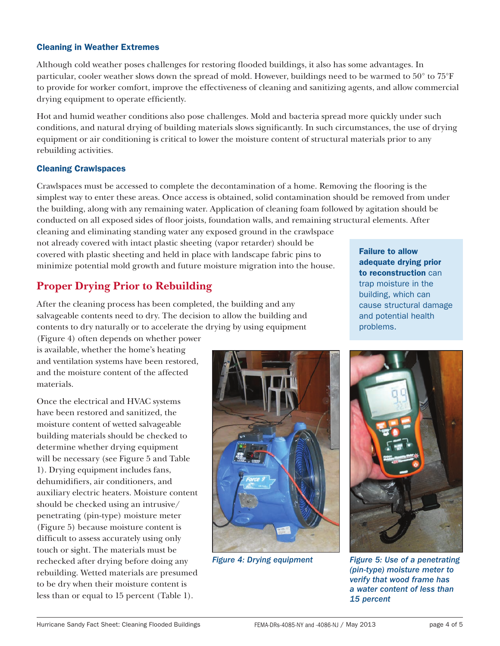#### Cleaning in Weather Extremes

Although cold weather poses challenges for restoring flooded buildings, it also has some advantages. In particular, cooler weather slows down the spread of mold. However, buildings need to be warmed to 50° to 75°F to provide for worker comfort, improve the effectiveness of cleaning and sanitizing agents, and allow commercial drying equipment to operate efficiently.

Hot and humid weather conditions also pose challenges. Mold and bacteria spread more quickly under such conditions, and natural drying of building materials slows significantly. In such circumstances, the use of drying equipment or air conditioning is critical to lower the moisture content of structural materials prior to any rebuilding activities.

#### Cleaning Crawlspaces

Crawlspaces must be accessed to complete the decontamination of a home. Removing the flooring is the simplest way to enter these areas. Once access is obtained, solid contamination should be removed from under the building, along with any remaining water. Application of cleaning foam followed by agitation should be conducted on all exposed sides of floor joists, foundation walls, and remaining structural elements. After

cleaning and eliminating standing water any exposed ground in the crawlspace not already covered with intact plastic sheeting (vapor retarder) should be covered with plastic sheeting and held in place with landscape fabric pins to minimize potential mold growth and future moisture migration into the house.

# **Proper Drying Prior to Rebuilding**

After the cleaning process has been completed, the building and any salvageable contents need to dry. The decision to allow the building and contents to dry naturally or to accelerate the drying by using equipment

Failure to allow adequate drying prior to reconstruction can trap moisture in the building, which can cause structural damage and potential health problems.

(Figure 4) often depends on whether power is available, whether the home's heating and ventilation systems have been restored, and the moisture content of the affected materials.

Once the electrical and HVAC systems have been restored and sanitized, the moisture content of wetted salvageable building materials should be checked to determine whether drying equipment will be necessary (see Figure 5 and Table 1). Drying equipment includes fans, dehumidifiers, air conditioners, and auxiliary electric heaters. Moisture content should be checked using an intrusive/ penetrating (pin-type) moisture meter (Figure 5) because moisture content is difficult to assess accurately using only touch or sight. The materials must be rechecked after drying before doing any rebuilding. Wetted materials are presumed to be dry when their moisture content is less than or equal to 15 percent (Table 1).





*Figure 4: Drying equipment Figure 5: Use of a penetrating (pin-type) moisture meter to verify that wood frame has a water content of less than 15 percent*